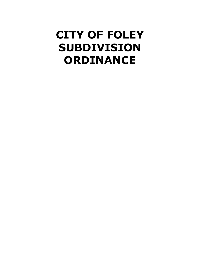# **CITY OF FOLEY SUBDIVISION ORDINANCE**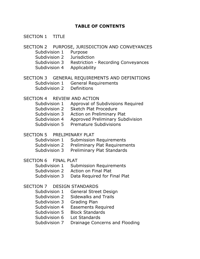# **TABLE OF CONTENTS**

#### SECTION 1 TITLE

#### SECTION 2 PURPOSE, JURISDICTION AND CONVEYANCES

- Subdivision 1 Purpose
- Subdivision 2 Jurisdiction
- Subdivision 3 Restriction Recording Conveyances
- Subdivision 4 Applicability

#### SECTION 3 GENERAL REQUIREMENTS AND DEFINITIONS

- Subdivision 1 General Requirements
- Subdivision 2 Definitions

#### SECTION 4 REVIEW AND ACTION

- Subdivision 1 Approval of Subdivisions Required
- Subdivision 2 Sketch Plat Procedure
- Subdivision 3 Action on Preliminary Plat
- Subdivision 4 Approved Preliminary Subdivision
- Subdivision 5 Premature Subdivisions

#### SECTION 5 PRELIMINARY PLAT

- Subdivision 1 Submission Requirements
- Subdivision 2 Preliminary Plat Requirements
- Subdivision 3 Preliminary Plat Standards

# SECTION 6 FINAL PLAT

- Subdivision 1 Submission Requirements
- Subdivision 2 Action on Final Plat
- Subdivision 3 Data Required for Final Plat

# SECTION 7 DESIGN STANDARDS

- Subdivision 1 General Street Design
- Subdivision 2 Sidewalks and Trails
- Subdivision 3 Grading Plan
- Subdivision 4 Easements Required
- Subdivision 5 Block Standards
- Subdivision 6 Lot Standards
- Subdivision 7 Drainage Concerns and Flooding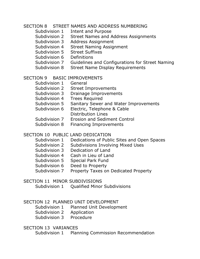#### SECTION 8 STREET NAMES AND ADDRESS NUMBERING

- Subdivision 1 Intent and Purpose
- Subdivision 2 Street Names and Address Assignments
- Subdivision 3 Address Assignment
- Subdivision 4 Street Naming Assignment
- Subdivision 5 Street Suffixes
- Subdivision 6 Definitions
- Subdivision 7 Guidelines and Configurations for Street Naming
- Subdivision 8 Street Name Display Requirements

# SECTION 9 BASIC IMPROVEMENTS

- Subdivision 1 General
- Subdivision 2 Street Improvements
- Subdivision 3 Drainage Improvements
- Subdivision 4 Trees Required
- Subdivision 5 Sanitary Sewer and Water Improvements
- Subdivision 6 Electric, Telephone & Cable Distribution Lines
- Subdivision 7 Erosion and Sediment Control
- Subdivision 8 Financing Improvements

# SECTION 10 PUBLIC LAND DEDICATION

- Subdivision 1 Dedications of Public Sites and Open Spaces
- Subdivision 2 Subdivisions Involving Mixed Uses
- Subdivision 3 Dedication of Land
- Subdivision 4 Cash in Lieu of Land
- Subdivision 5 Special Park Fund
- Subdivision 6 Deed to Property
- Subdivision 7 Property Taxes on Dedicated Property

#### SECTION 11 MINOR SUBDIVISIONS

Subdivision 1 Qualified Minor Subdivisions

# SECTION 12 PLANNED UNIT DEVELOPMENT

- Subdivision 1 Planned Unit Development
- Subdivision 2 Application
- Subdivision 3 Procedure

# SECTION 13 VARIANCES

Subdivision 1 Planning Commission Recommendation